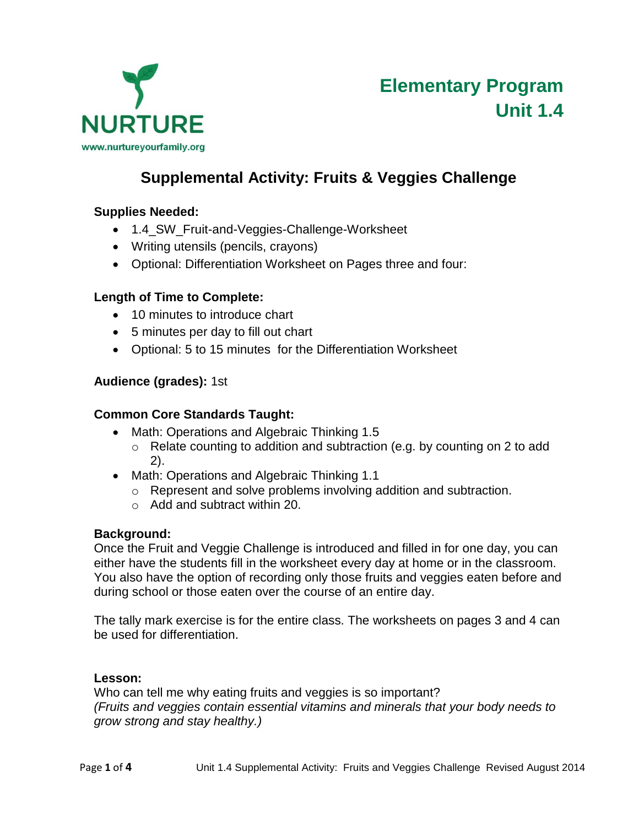

### **Supplemental Activity: Fruits & Veggies Challenge**

### **Supplies Needed:**

- 1.4\_SW\_Fruit-and-Veggies-Challenge-Worksheet
- Writing utensils (pencils, crayons)
- Optional: Differentiation Worksheet on Pages three and four:

#### **Length of Time to Complete:**

- 10 minutes to introduce chart
- 5 minutes per day to fill out chart
- Optional: 5 to 15 minutes for the Differentiation Worksheet

#### **Audience (grades):** 1st

#### **Common Core Standards Taught:**

- Math: Operations and Algebraic Thinking 1.5
	- o Relate counting to addition and subtraction (e.g. by counting on 2 to add 2).
- Math: Operations and Algebraic Thinking 1.1
	- o Represent and solve problems involving addition and subtraction.
	- o Add and subtract within 20.

#### **Background:**

Once the Fruit and Veggie Challenge is introduced and filled in for one day, you can either have the students fill in the worksheet every day at home or in the classroom. You also have the option of recording only those fruits and veggies eaten before and during school or those eaten over the course of an entire day.

The tally mark exercise is for the entire class. The worksheets on pages 3 and 4 can be used for differentiation.

#### **Lesson:**

Who can tell me why eating fruits and veggies is so important? *(Fruits and veggies contain essential vitamins and minerals that your body needs to grow strong and stay healthy.)*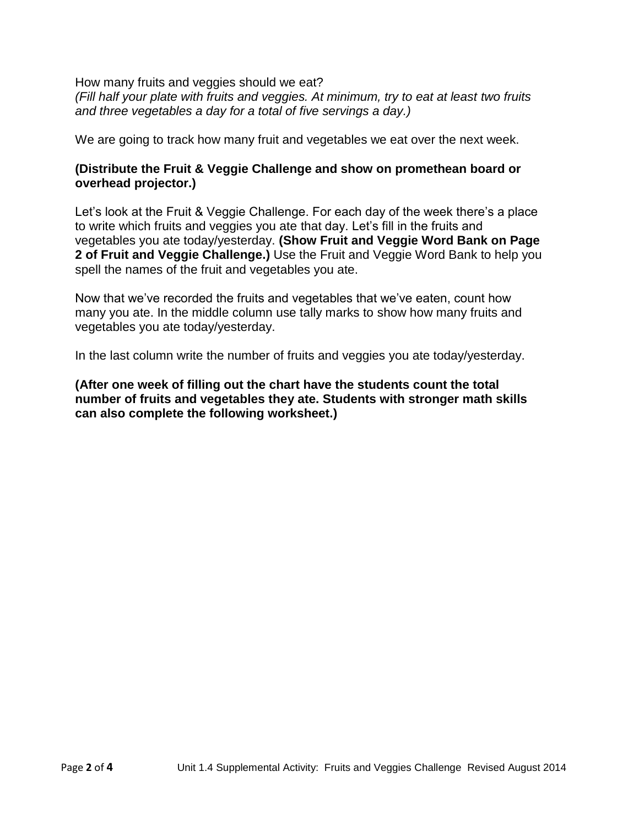How many fruits and veggies should we eat? *(Fill half your plate with fruits and veggies. At minimum, try to eat at least two fruits and three vegetables a day for a total of five servings a day.)*

We are going to track how many fruit and vegetables we eat over the next week.

#### **(Distribute the Fruit & Veggie Challenge and show on promethean board or overhead projector.)**

Let's look at the Fruit & Veggie Challenge. For each day of the week there's a place to write which fruits and veggies you ate that day. Let's fill in the fruits and vegetables you ate today/yesterday. **(Show Fruit and Veggie Word Bank on Page 2 of Fruit and Veggie Challenge.)** Use the Fruit and Veggie Word Bank to help you spell the names of the fruit and vegetables you ate.

Now that we've recorded the fruits and vegetables that we've eaten, count how many you ate. In the middle column use tally marks to show how many fruits and vegetables you ate today/yesterday.

In the last column write the number of fruits and veggies you ate today/yesterday.

**(After one week of filling out the chart have the students count the total number of fruits and vegetables they ate. Students with stronger math skills can also complete the following worksheet.)**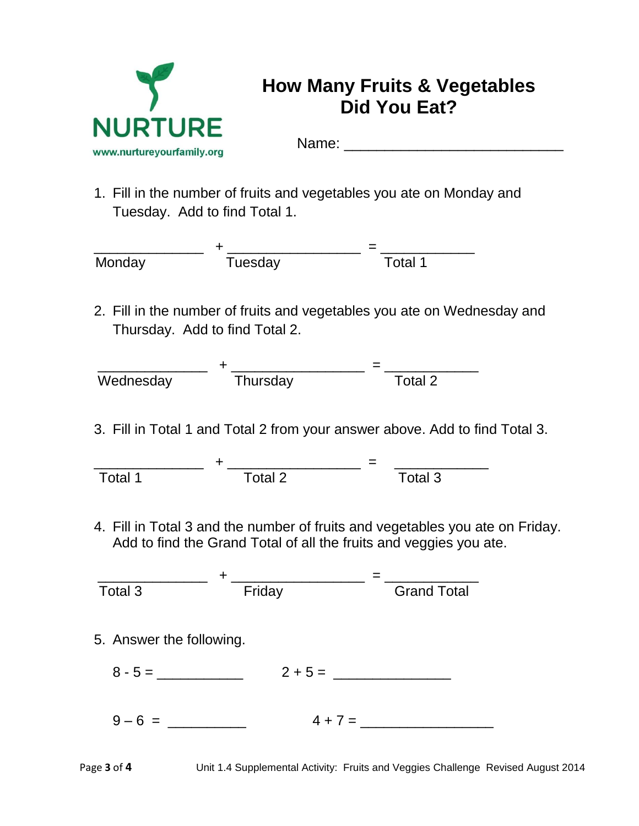

# **How Many Fruits & Vegetables Did You Eat?**

Name:  $\blacksquare$ 

1. Fill in the number of fruits and vegetables you ate on Monday and Tuesday. Add to find Total 1.



2. Fill in the number of fruits and vegetables you ate on Wednesday and Thursday. Add to find Total 2.



3. Fill in Total 1 and Total 2 from your answer above. Add to find Total 3.

 \_\_\_\_\_\_\_\_\_\_\_\_\_\_ + \_\_\_\_\_\_\_\_\_\_\_\_\_\_\_\_\_ = \_\_\_\_\_\_\_\_\_\_\_\_ Total 1 Total 2 Total 3

4. Fill in Total 3 and the number of fruits and vegetables you ate on Friday. Add to find the Grand Total of all the fruits and veggies you ate.